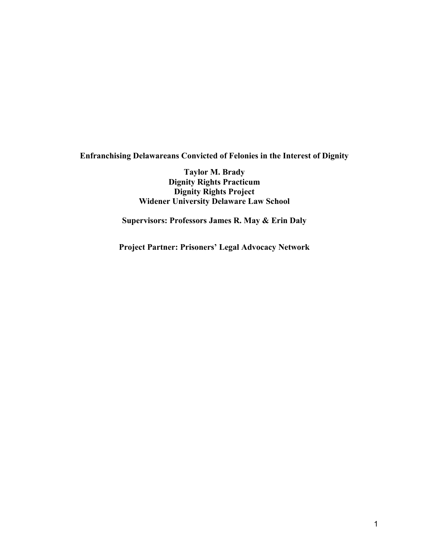**Enfranchising Delawareans Convicted of Felonies in the Interest of Dignity**

**Taylor M. Brady Dignity Rights Practicum Dignity Rights Project Widener University Delaware Law School**

**Supervisors: Professors James R. May & Erin Daly**

**Project Partner: Prisoners' Legal Advocacy Network**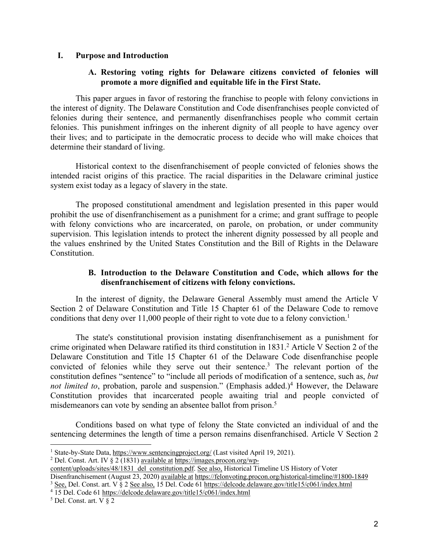#### **I. Purpose and Introduction**

### **A. Restoring voting rights for Delaware citizens convicted of felonies will promote a more dignified and equitable life in the First State.**

This paper argues in favor of restoring the franchise to people with felony convictions in the interest of dignity. The Delaware Constitution and Code disenfranchises people convicted of felonies during their sentence, and permanently disenfranchises people who commit certain felonies. This punishment infringes on the inherent dignity of all people to have agency over their lives; and to participate in the democratic process to decide who will make choices that determine their standard of living.

Historical context to the disenfranchisement of people convicted of felonies shows the intended racist origins of this practice. The racial disparities in the Delaware criminal justice system exist today as a legacy of slavery in the state.

The proposed constitutional amendment and legislation presented in this paper would prohibit the use of disenfranchisement as a punishment for a crime; and grant suffrage to people with felony convictions who are incarcerated, on parole, on probation, or under community supervision. This legislation intends to protect the inherent dignity possessed by all people and the values enshrined by the United States Constitution and the Bill of Rights in the Delaware Constitution.

#### **B. Introduction to the Delaware Constitution and Code, which allows for the disenfranchisement of citizens with felony convictions.**

In the interest of dignity, the Delaware General Assembly must amend the Article V Section 2 of Delaware Constitution and Title 15 Chapter 61 of the Delaware Code to remove conditions that deny over 11,000 people of their right to vote due to a felony conviction.<sup>1</sup>

The state's constitutional provision instating disenfranchisement as a punishment for crime originated when Delaware ratified its third constitution in 1831.<sup>2</sup> Article V Section 2 of the Delaware Constitution and Title 15 Chapter 61 of the Delaware Code disenfranchise people convicted of felonies while they serve out their sentence.3 The relevant portion of the constitution defines "sentence" to "include all periods of modification of a sentence, such as, *but not limited to*, probation, parole and suspension." (Emphasis added.)<sup>4</sup> However, the Delaware Constitution provides that incarcerated people awaiting trial and people convicted of misdemeanors can vote by sending an absentee ballot from prison.<sup>5</sup>

Conditions based on what type of felony the State convicted an individual of and the sentencing determines the length of time a person remains disenfranchised. Article V Section 2

<sup>&</sup>lt;sup>1</sup> State-by-State Data, https://www.sentencingproject.org/ (Last visited April 19, 2021).

<sup>&</sup>lt;sup>2</sup> Del. Const. Art. IV  $\frac{2}{3}$  (1831) available at https://images.procon.org/wp-

content/uploads/sites/48/1831\_del\_constitution.pdf. See also, Historical Timeline US History of Voter Disenfranchisement (August 23, 2020) available at https://felonvoting.procon.org/historical-timeline/#1800-1849 <sup>3</sup> See, Del. Const. art. V § 2 See also, 15 Del. Code 61 https://delcode.delaware.gov/title15/c061/index.html

<sup>4</sup> 15 Del. Code 61 https://delcode.delaware.gov/title15/c061/index.html

 $5$  Del. Const. art. V  $\S$  2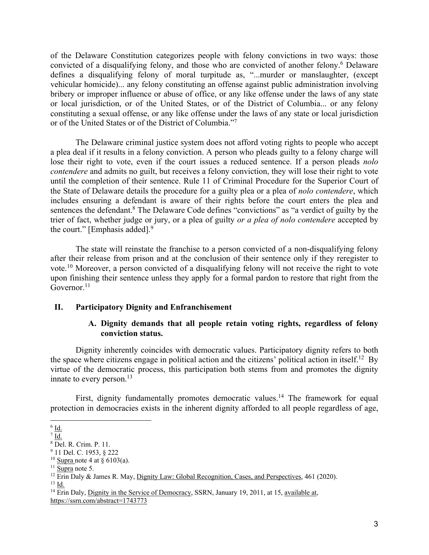of the Delaware Constitution categorizes people with felony convictions in two ways: those convicted of a disqualifying felony, and those who are convicted of another felony.<sup>6</sup> Delaware defines a disqualifying felony of moral turpitude as, "...murder or manslaughter, (except vehicular homicide)... any felony constituting an offense against public administration involving bribery or improper influence or abuse of office, or any like offense under the laws of any state or local jurisdiction, or of the United States, or of the District of Columbia... or any felony constituting a sexual offense, or any like offense under the laws of any state or local jurisdiction or of the United States or of the District of Columbia."7

The Delaware criminal justice system does not afford voting rights to people who accept a plea deal if it results in a felony conviction. A person who pleads guilty to a felony charge will lose their right to vote, even if the court issues a reduced sentence. If a person pleads *nolo contendere* and admits no guilt, but receives a felony conviction, they will lose their right to vote until the completion of their sentence. Rule 11 of Criminal Procedure for the Superior Court of the State of Delaware details the procedure for a guilty plea or a plea of *nolo contendere*, which includes ensuring a defendant is aware of their rights before the court enters the plea and sentences the defendant.<sup>8</sup> The Delaware Code defines "convictions" as "a verdict of guilty by the trier of fact, whether judge or jury, or a plea of guilty *or a plea of nolo contendere* accepted by the court." [Emphasis added].<sup>9</sup>

The state will reinstate the franchise to a person convicted of a non-disqualifying felony after their release from prison and at the conclusion of their sentence only if they reregister to vote.10 Moreover, a person convicted of a disqualifying felony will not receive the right to vote upon finishing their sentence unless they apply for a formal pardon to restore that right from the Governor.<sup>11</sup>

#### **II. Participatory Dignity and Enfranchisement**

### **A. Dignity demands that all people retain voting rights, regardless of felony conviction status.**

Dignity inherently coincides with democratic values. Participatory dignity refers to both the space where citizens engage in political action and the citizens' political action in itself.12 By virtue of the democratic process, this participation both stems from and promotes the dignity innate to every person. $^{13}$ 

First, dignity fundamentally promotes democratic values.<sup>14</sup> The framework for equal protection in democracies exists in the inherent dignity afforded to all people regardless of age,

 $6$  Id.

 $\sqrt{7}$  Id.

<sup>8</sup> Del. R. Crim. P. 11.

<sup>9</sup> 11 Del. C. 1953, § 222

<sup>&</sup>lt;sup>10</sup> Supra note 4 at  $\frac{8}{3}$  6103(a).

 $11$  Supra note 5.

<sup>&</sup>lt;sup>12</sup> Erin Daly & James R. May, Dignity Law: Global Recognition, Cases, and Perspectives, 461 (2020).  $^{13}$  Id.

<sup>&</sup>lt;sup>14</sup> Erin Daly, Dignity in the Service of Democracy, SSRN, January 19, 2011, at 15, available at, https://ssrn.com/abstract=1743773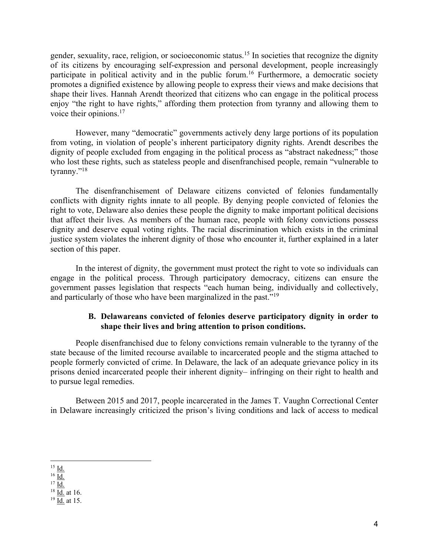gender, sexuality, race, religion, or socioeconomic status.15 In societies that recognize the dignity of its citizens by encouraging self-expression and personal development, people increasingly participate in political activity and in the public forum.<sup>16</sup> Furthermore, a democratic society promotes a dignified existence by allowing people to express their views and make decisions that shape their lives. Hannah Arendt theorized that citizens who can engage in the political process enjoy "the right to have rights," affording them protection from tyranny and allowing them to voice their opinions.<sup>17</sup>

However, many "democratic" governments actively deny large portions of its population from voting, in violation of people's inherent participatory dignity rights. Arendt describes the dignity of people excluded from engaging in the political process as "abstract nakedness;" those who lost these rights, such as stateless people and disenfranchised people, remain "vulnerable to tyranny."<sup>18</sup>

The disenfranchisement of Delaware citizens convicted of felonies fundamentally conflicts with dignity rights innate to all people. By denying people convicted of felonies the right to vote, Delaware also denies these people the dignity to make important political decisions that affect their lives. As members of the human race, people with felony convictions possess dignity and deserve equal voting rights. The racial discrimination which exists in the criminal justice system violates the inherent dignity of those who encounter it, further explained in a later section of this paper.

In the interest of dignity, the government must protect the right to vote so individuals can engage in the political process. Through participatory democracy, citizens can ensure the government passes legislation that respects "each human being, individually and collectively, and particularly of those who have been marginalized in the past."19

#### **B. Delawareans convicted of felonies deserve participatory dignity in order to shape their lives and bring attention to prison conditions.**

People disenfranchised due to felony convictions remain vulnerable to the tyranny of the state because of the limited recourse available to incarcerated people and the stigma attached to people formerly convicted of crime. In Delaware, the lack of an adequate grievance policy in its prisons denied incarcerated people their inherent dignity– infringing on their right to health and to pursue legal remedies.

Between 2015 and 2017, people incarcerated in the James T. Vaughn Correctional Center in Delaware increasingly criticized the prison's living conditions and lack of access to medical

 $^{15}$   $\underline{\text{Id.}}$ 

 $^{16}$  Id.

 $^{17}$  Id.

 $18$  <u>Id.</u> at 16.

 $19$  <u>Id.</u> at 15.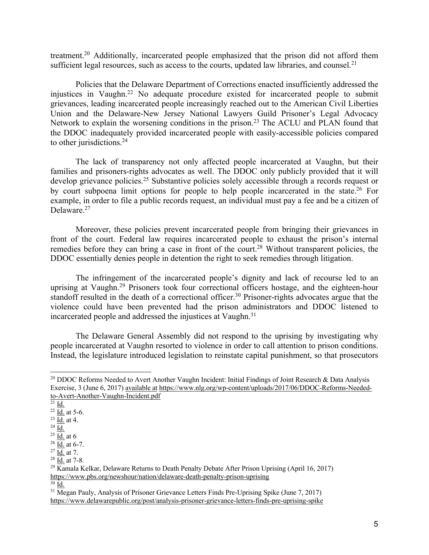treatment.20 Additionally, incarcerated people emphasized that the prison did not afford them sufficient legal resources, such as access to the courts, updated law libraries, and counsel.<sup>21</sup>

Policies that the Delaware Department of Corrections enacted insufficiently addressed the injustices in Vaughn.22 No adequate procedure existed for incarcerated people to submit grievances, leading incarcerated people increasingly reached out to the American Civil Liberties Union and the Delaware-New Jersey National Lawyers Guild Prisoner's Legal Advocacy Network to explain the worsening conditions in the prison.<sup>23</sup> The ACLU and PLAN found that the DDOC inadequately provided incarcerated people with easily-accessible policies compared to other jurisdictions.<sup>24</sup>

The lack of transparency not only affected people incarcerated at Vaughn, but their families and prisoners-rights advocates as well. The DDOC only publicly provided that it will develop grievance policies.25 Substantive policies solely accessible through a records request or by court subpoena limit options for people to help people incarcerated in the state.26 For example, in order to file a public records request, an individual must pay a fee and be a citizen of Delaware.<sup>27</sup>

Moreover, these policies prevent incarcerated people from bringing their grievances in front of the court. Federal law requires incarcerated people to exhaust the prison's internal remedies before they can bring a case in front of the court.<sup>28</sup> Without transparent policies, the DDOC essentially denies people in detention the right to seek remedies through litigation.

The infringement of the incarcerated people's dignity and lack of recourse led to an uprising at Vaughn.<sup>29</sup> Prisoners took four correctional officers hostage, and the eighteen-hour standoff resulted in the death of a correctional officer.<sup>30</sup> Prisoner-rights advocates argue that the violence could have been prevented had the prison administrators and DDOC listened to incarcerated people and addressed the injustices at Vaughn.<sup>31</sup>

The Delaware General Assembly did not respond to the uprising by investigating why people incarcerated at Vaughn resorted to violence in order to call attention to prison conditions. Instead, the legislature introduced legislation to reinstate capital punishment, so that prosecutors

 $30$  Id.

<sup>&</sup>lt;sup>20</sup> DDOC Reforms Needed to Avert Another Vaughn Incident: Initial Findings of Joint Research & Data Analysis Exercise, 3 (June 6, 2017) available at https://www.nlg.org/wp-content/uploads/2017/06/DDOC-Reforms-Neededto-Avert-Another-Vaughn-Incident.pdf

 $^{21}$  <u>Id.</u>

 $^{22}$  Id. at 5-6.

 $^{23}$  Id. at 4.

 $^{24}$  Id.

 $^{25}$  Id. at 6

 $^{26}$   $\overline{\underline{\text{Id}}}\cdot$  at 6-7.

 $27 \overline{\mathrm{Id}}$ . at 7.

 $^{28}$  Id. at 7-8.

 $^{29}$  Kamala Kelkar, Delaware Returns to Death Penalty Debate After Prison Uprising (April 16, 2017) https://www.pbs.org/newshour/nation/delaware-death-penalty-prison-uprising

 $31$  Megan Pauly, Analysis of Prisoner Grievance Letters Finds Pre-Uprising Spike (June 7, 2017) https://www.delawarepublic.org/post/analysis-prisoner-grievance-letters-finds-pre-uprising-spike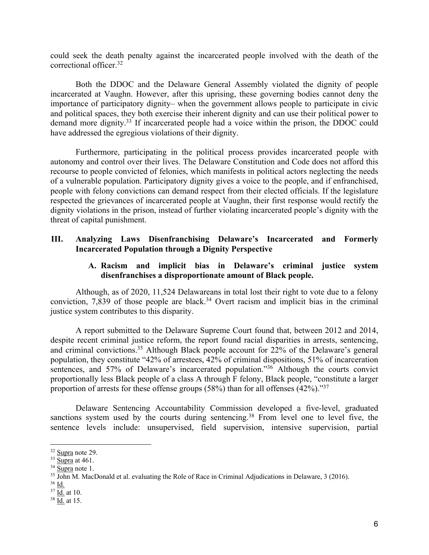could seek the death penalty against the incarcerated people involved with the death of the correctional officer.32

Both the DDOC and the Delaware General Assembly violated the dignity of people incarcerated at Vaughn. However, after this uprising, these governing bodies cannot deny the importance of participatory dignity– when the government allows people to participate in civic and political spaces, they both exercise their inherent dignity and can use their political power to demand more dignity.<sup>33</sup> If incarcerated people had a voice within the prison, the DDOC could have addressed the egregious violations of their dignity.

Furthermore, participating in the political process provides incarcerated people with autonomy and control over their lives. The Delaware Constitution and Code does not afford this recourse to people convicted of felonies, which manifests in political actors neglecting the needs of a vulnerable population. Participatory dignity gives a voice to the people, and if enfranchised, people with felony convictions can demand respect from their elected officials. If the legislature respected the grievances of incarcerated people at Vaughn, their first response would rectify the dignity violations in the prison, instead of further violating incarcerated people's dignity with the threat of capital punishment.

## **III. Analyzing Laws Disenfranchising Delaware's Incarcerated and Formerly Incarcerated Population through a Dignity Perspective**

### **A. Racism and implicit bias in Delaware's criminal justice system disenfranchises a disproportionate amount of Black people.**

Although, as of 2020, 11,524 Delawareans in total lost their right to vote due to a felony conviction, 7,839 of those people are black.<sup>34</sup> Overt racism and implicit bias in the criminal justice system contributes to this disparity.

A report submitted to the Delaware Supreme Court found that, between 2012 and 2014, despite recent criminal justice reform, the report found racial disparities in arrests, sentencing, and criminal convictions.<sup>35</sup> Although Black people account for 22% of the Delaware's general population, they constitute "42% of arrestees, 42% of criminal dispositions, 51% of incarceration sentences, and 57% of Delaware's incarcerated population."<sup>36</sup> Although the courts convict proportionally less Black people of a class A through F felony, Black people, "constitute a larger proportion of arrests for these offense groups  $(58%)$  than for all offenses  $(42%)$ ."<sup>37</sup>

Delaware Sentencing Accountability Commission developed a five-level, graduated sanctions system used by the courts during sentencing.<sup>38</sup> From level one to level five, the sentence levels include: unsupervised, field supervision, intensive supervision, partial

 $32$  Supra note 29.

 $33 \overline{\text{Supra}}$  at 461.

<sup>34</sup> Supra note 1.

 $35 \overline{\text{John}}$  M. MacDonald et al. evaluating the Role of Race in Criminal Adjudications in Delaware, 3 (2016).

 $36$  Id.

 $37 \overline{\text{Id.}}$  at 10.

 $38$  <u>Id.</u> at 15.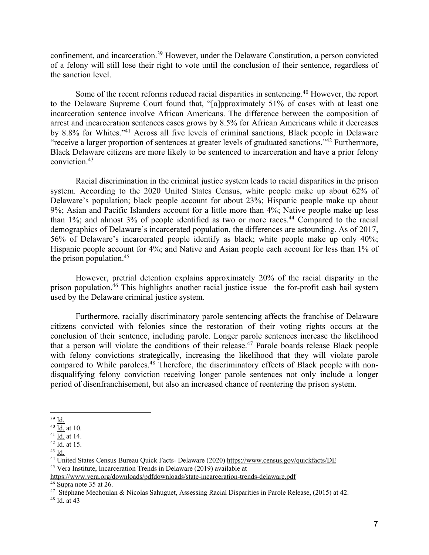confinement, and incarceration.39 However, under the Delaware Constitution, a person convicted of a felony will still lose their right to vote until the conclusion of their sentence, regardless of the sanction level.

Some of the recent reforms reduced racial disparities in sentencing.<sup>40</sup> However, the report to the Delaware Supreme Court found that, "[a]pproximately 51% of cases with at least one incarceration sentence involve African Americans. The difference between the composition of arrest and incarceration sentences cases grows by 8.5% for African Americans while it decreases by 8.8% for Whites."41 Across all five levels of criminal sanctions, Black people in Delaware "receive a larger proportion of sentences at greater levels of graduated sanctions."42 Furthermore, Black Delaware citizens are more likely to be sentenced to incarceration and have a prior felony conviction.43

Racial discrimination in the criminal justice system leads to racial disparities in the prison system. According to the 2020 United States Census, white people make up about 62% of Delaware's population; black people account for about 23%; Hispanic people make up about 9%; Asian and Pacific Islanders account for a little more than 4%; Native people make up less than 1%; and almost 3% of people identified as two or more races.<sup>44</sup> Compared to the racial demographics of Delaware's incarcerated population, the differences are astounding. As of 2017, 56% of Delaware's incarcerated people identify as black; white people make up only 40%; Hispanic people account for 4%; and Native and Asian people each account for less than 1% of the prison population.<sup>45</sup>

However, pretrial detention explains approximately 20% of the racial disparity in the prison population.46 This highlights another racial justice issue– the for-profit cash bail system used by the Delaware criminal justice system.

Furthermore, racially discriminatory parole sentencing affects the franchise of Delaware citizens convicted with felonies since the restoration of their voting rights occurs at the conclusion of their sentence, including parole. Longer parole sentences increase the likelihood that a person will violate the conditions of their release.47 Parole boards release Black people with felony convictions strategically, increasing the likelihood that they will violate parole compared to While parolees.<sup>48</sup> Therefore, the discriminatory effects of Black people with nondisqualifying felony conviction receiving longer parole sentences not only include a longer period of disenfranchisement, but also an increased chance of reentering the prison system.

<sup>39</sup> Id.

 $40 \overline{\mathrm{Id.}}$  at 10.

 $41$  Id. at 14.

 $42 \underline{\overline{Id}}$  at 15.

 $43 \overline{Id}$ .

<sup>44</sup> United States Census Bureau Quick Facts- Delaware (2020) https://www.census.gov/quickfacts/DE

<sup>45</sup> Vera Institute, Incarceration Trends in Delaware (2019) available at

https://www.vera.org/downloads/pdfdownloads/state-incarceration-trends-delaware.pdf  $\overline{^{46}}$  Supra note 35 at 26.

<sup>&</sup>lt;sup>47</sup> Stéphane Mechoulan & Nicolas Sahuguet, Assessing Racial Disparities in Parole Release, (2015) at 42.

 $48$  <u>Id.</u> at 43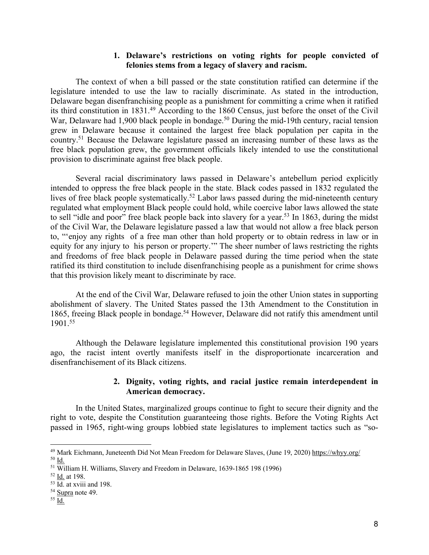#### **1. Delaware's restrictions on voting rights for people convicted of felonies stems from a legacy of slavery and racism.**

The context of when a bill passed or the state constitution ratified can determine if the legislature intended to use the law to racially discriminate. As stated in the introduction, Delaware began disenfranchising people as a punishment for committing a crime when it ratified its third constitution in 1831.49 According to the 1860 Census, just before the onset of the Civil War, Delaware had 1,900 black people in bondage.<sup>50</sup> During the mid-19th century, racial tension grew in Delaware because it contained the largest free black population per capita in the country.51 Because the Delaware legislature passed an increasing number of these laws as the free black population grew, the government officials likely intended to use the constitutional provision to discriminate against free black people.

Several racial discriminatory laws passed in Delaware's antebellum period explicitly intended to oppress the free black people in the state. Black codes passed in 1832 regulated the lives of free black people systematically.<sup>52</sup> Labor laws passed during the mid-nineteenth century regulated what employment Black people could hold, while coercive labor laws allowed the state to sell "idle and poor" free black people back into slavery for a year.<sup>53</sup> In 1863, during the midst of the Civil War, the Delaware legislature passed a law that would not allow a free black person to, "'enjoy any rights of a free man other than hold property or to obtain redress in law or in equity for any injury to his person or property.'" The sheer number of laws restricting the rights and freedoms of free black people in Delaware passed during the time period when the state ratified its third constitution to include disenfranchising people as a punishment for crime shows that this provision likely meant to discriminate by race.

At the end of the Civil War, Delaware refused to join the other Union states in supporting abolishment of slavery. The United States passed the 13th Amendment to the Constitution in 1865, freeing Black people in bondage.<sup>54</sup> However, Delaware did not ratify this amendment until 1901.55

Although the Delaware legislature implemented this constitutional provision 190 years ago, the racist intent overtly manifests itself in the disproportionate incarceration and disenfranchisement of its Black citizens.

### **2. Dignity, voting rights, and racial justice remain interdependent in American democracy.**

In the United States, marginalized groups continue to fight to secure their dignity and the right to vote, despite the Constitution guaranteeing those rights. Before the Voting Rights Act passed in 1965, right-wing groups lobbied state legislatures to implement tactics such as "so-

<sup>&</sup>lt;sup>49</sup> Mark Eichmann, Juneteenth Did Not Mean Freedom for Delaware Slaves, (June 19, 2020) https://whyy.org/ <sup>50</sup> Id.

<sup>51</sup> William H. Williams, Slavery and Freedom in Delaware, 1639-1865 198 (1996)

<sup>52</sup> Id. at 198.

 $\frac{53}{10}$ . at xviii and 198.<br> $\frac{54}{10}$  Supra note 49.

 $^{55}$  <u>Id.</u>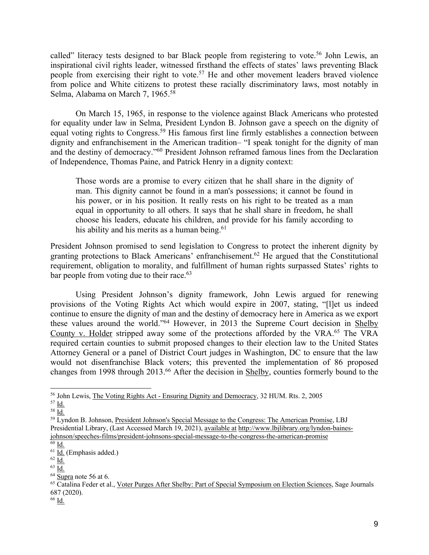called" literacy tests designed to bar Black people from registering to vote.<sup>56</sup> John Lewis, an inspirational civil rights leader, witnessed firsthand the effects of states' laws preventing Black people from exercising their right to vote.<sup>57</sup> He and other movement leaders braved violence from police and White citizens to protest these racially discriminatory laws, most notably in Selma, Alabama on March 7, 1965.58

On March 15, 1965, in response to the violence against Black Americans who protested for equality under law in Selma, President Lyndon B. Johnson gave a speech on the dignity of equal voting rights to Congress.59 His famous first line firmly establishes a connection between dignity and enfranchisement in the American tradition– "I speak tonight for the dignity of man and the destiny of democracy."60 President Johnson reframed famous lines from the Declaration of Independence, Thomas Paine, and Patrick Henry in a dignity context:

Those words are a promise to every citizen that he shall share in the dignity of man. This dignity cannot be found in a man's possessions; it cannot be found in his power, or in his position. It really rests on his right to be treated as a man equal in opportunity to all others. It says that he shall share in freedom, he shall choose his leaders, educate his children, and provide for his family according to his ability and his merits as a human being.<sup>61</sup>

President Johnson promised to send legislation to Congress to protect the inherent dignity by granting protections to Black Americans' enfranchisement.62 He argued that the Constitutional requirement, obligation to morality, and fulfillment of human rights surpassed States' rights to bar people from voting due to their race. $63$ 

Using President Johnson's dignity framework, John Lewis argued for renewing provisions of the Voting Rights Act which would expire in 2007, stating, "[l]et us indeed continue to ensure the dignity of man and the destiny of democracy here in America as we export these values around the world."64 However, in 2013 the Supreme Court decision in Shelby County v. Holder stripped away some of the protections afforded by the VRA.<sup>65</sup> The VRA required certain counties to submit proposed changes to their election law to the United States Attorney General or a panel of District Court judges in Washington, DC to ensure that the law would not disenfranchise Black voters; this prevented the implementation of 86 proposed changes from 1998 through 2013.<sup>66</sup> After the decision in Shelby, counties formerly bound to the

 $62 \overline{Id}$ .

<sup>56</sup> John Lewis, The Voting Rights Act - Ensuring Dignity and Democracy, 32 HUM. Rts. 2, 2005

<sup>57</sup> Id.

 $58 \overline{Id}$ .

<sup>59</sup> Lyndon B. Johnson, President Johnson's Special Message to the Congress: The American Promise, LBJ Presidential Library, (Last Accessed March 19, 2021), available at http://www.lbjlibrary.org/lyndon-bainesjohnson/speeches-films/president-johnsons-special-message-to-the-congress-the-american-promise  $\overline{60}$  Id.

 $61$   $\underline{Id}$ . (Emphasis added.)

<sup>63</sup> Id.

<sup>64</sup> Supra note 56 at 6.

<sup>&</sup>lt;sup>65</sup> Catalina Feder et al., Voter Purges After Shelby: Part of Special Symposium on Election Sciences, Sage Journals 687 (2020).

 $66$  Id.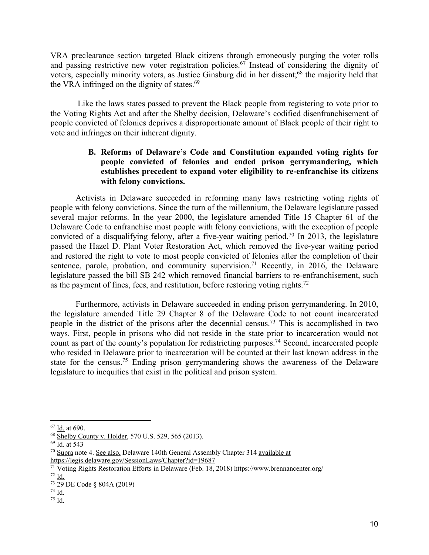VRA preclearance section targeted Black citizens through erroneously purging the voter rolls and passing restrictive new voter registration policies.67 Instead of considering the dignity of voters, especially minority voters, as Justice Ginsburg did in her dissent;<sup>68</sup> the majority held that the VRA infringed on the dignity of states. $69$ 

Like the laws states passed to prevent the Black people from registering to vote prior to the Voting Rights Act and after the Shelby decision, Delaware's codified disenfranchisement of people convicted of felonies deprives a disproportionate amount of Black people of their right to vote and infringes on their inherent dignity.

### **B. Reforms of Delaware's Code and Constitution expanded voting rights for people convicted of felonies and ended prison gerrymandering, which establishes precedent to expand voter eligibility to re-enfranchise its citizens with felony convictions.**

Activists in Delaware succeeded in reforming many laws restricting voting rights of people with felony convictions. Since the turn of the millennium, the Delaware legislature passed several major reforms. In the year 2000, the legislature amended Title 15 Chapter 61 of the Delaware Code to enfranchise most people with felony convictions, with the exception of people convicted of a disqualifying felony, after a five-year waiting period.<sup>70</sup> In 2013, the legislature passed the Hazel D. Plant Voter Restoration Act, which removed the five-year waiting period and restored the right to vote to most people convicted of felonies after the completion of their sentence, parole, probation, and community supervision.<sup>71</sup> Recently, in 2016, the Delaware legislature passed the bill SB 242 which removed financial barriers to re-enfranchisement, such as the payment of fines, fees, and restitution, before restoring voting rights.72

Furthermore, activists in Delaware succeeded in ending prison gerrymandering. In 2010, the legislature amended Title 29 Chapter 8 of the Delaware Code to not count incarcerated people in the district of the prisons after the decennial census.73 This is accomplished in two ways. First, people in prisons who did not reside in the state prior to incarceration would not count as part of the county's population for redistricting purposes.<sup>74</sup> Second, incarcerated people who resided in Delaware prior to incarceration will be counted at their last known address in the state for the census.<sup>75</sup> Ending prison gerrymandering shows the awareness of the Delaware legislature to inequities that exist in the political and prison system.

<sup>67</sup> Id. at 690.

<sup>68</sup> Shelby County v. Holder, 570 U.S. 529, 565 (2013).

<sup>69</sup> Id. at 543

 $\frac{70}{6}$  Supra note 4. See also, Delaware 140th General Assembly Chapter 314 available at

https://legis.delaware.gov/SessionLaws/Chapter?id=19687

<sup>71</sup> Voting Rights Restoration Efforts in Delaware (Feb. 18, 2018) https://www.brennancenter.org/ <sup>72</sup> Id.

<sup>73</sup> 29 DE Code § 804A (2019)

 $rac{74}{75}$  <u>Id.</u>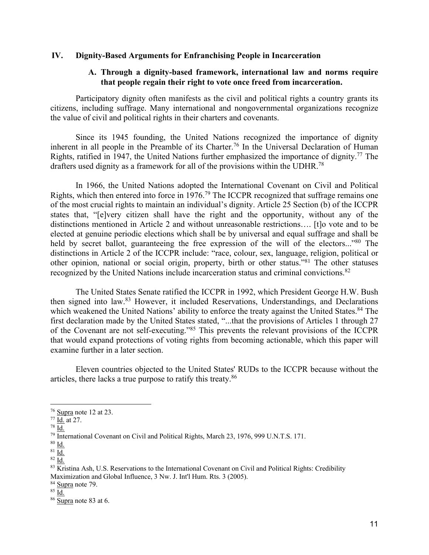#### **IV. Dignity-Based Arguments for Enfranchising People in Incarceration**

#### **A. Through a dignity-based framework, international law and norms require that people regain their right to vote once freed from incarceration.**

Participatory dignity often manifests as the civil and political rights a country grants its citizens, including suffrage. Many international and nongovernmental organizations recognize the value of civil and political rights in their charters and covenants.

Since its 1945 founding, the United Nations recognized the importance of dignity inherent in all people in the Preamble of its Charter.<sup>76</sup> In the Universal Declaration of Human Rights, ratified in 1947, the United Nations further emphasized the importance of dignity.<sup>77</sup> The drafters used dignity as a framework for all of the provisions within the UDHR.<sup>78</sup>

In 1966, the United Nations adopted the International Covenant on Civil and Political Rights, which then entered into force in 1976.79 The ICCPR recognized that suffrage remains one of the most crucial rights to maintain an individual's dignity. Article 25 Section (b) of the ICCPR states that, "[e]very citizen shall have the right and the opportunity, without any of the distinctions mentioned in Article 2 and without unreasonable restrictions…. [t]o vote and to be elected at genuine periodic elections which shall be by universal and equal suffrage and shall be held by secret ballot, guaranteeing the free expression of the will of the electors..."<sup>80</sup> The distinctions in Article 2 of the ICCPR include: "race, colour, sex, language, religion, political or other opinion, national or social origin, property, birth or other status."81 The other statuses recognized by the United Nations include incarceration status and criminal convictions.<sup>82</sup>

The United States Senate ratified the ICCPR in 1992, which President George H.W. Bush then signed into law.83 However, it included Reservations, Understandings, and Declarations which weakened the United Nations' ability to enforce the treaty against the United States.<sup>84</sup> The first declaration made by the United States stated, "...that the provisions of Articles 1 through 27 of the Covenant are not self-executing."85 This prevents the relevant provisions of the ICCPR that would expand protections of voting rights from becoming actionable, which this paper will examine further in a later section.

Eleven countries objected to the United States' RUDs to the ICCPR because without the articles, there lacks a true purpose to ratify this treaty.86

<sup>76</sup> Supra note 12 at 23.

 $77 \overline{\mathrm{Id}}$ . at 27.

<sup>78</sup> Id.

<sup>&</sup>lt;sup>79</sup> International Covenant on Civil and Political Rights, March 23, 1976, 999 U.N.T.S. 171.

 $80 \underline{\mathsf{Id}}$ .

 $81 \underline{Id.}$ 

 $82 \overline{Id}$ .

<sup>83</sup> Kristina Ash, U.S. Reservations to the International Covenant on Civil and Political Rights: Credibility Maximization and Global Influence, 3 Nw. J. Int'l Hum. Rts. 3 (2005).

<sup>&</sup>lt;sup>84</sup> Supra note 79.

 $85 \overline{Id.}$ 

<sup>&</sup>lt;sup>86</sup> Supra note 83 at 6.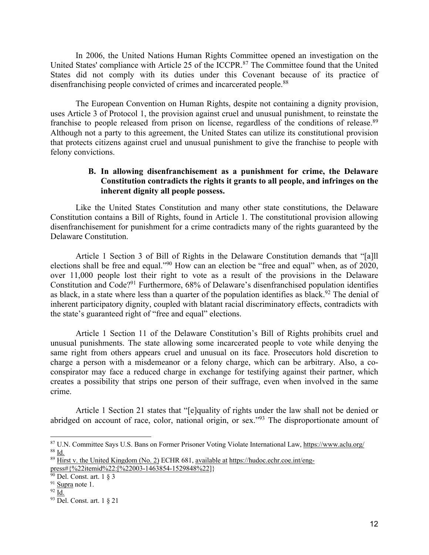In 2006, the United Nations Human Rights Committee opened an investigation on the United States' compliance with Article 25 of the ICCPR.<sup>87</sup> The Committee found that the United States did not comply with its duties under this Covenant because of its practice of disenfranchising people convicted of crimes and incarcerated people.<sup>88</sup>

The European Convention on Human Rights, despite not containing a dignity provision, uses Article 3 of Protocol 1, the provision against cruel and unusual punishment, to reinstate the franchise to people released from prison on license, regardless of the conditions of release.<sup>89</sup> Although not a party to this agreement, the United States can utilize its constitutional provision that protects citizens against cruel and unusual punishment to give the franchise to people with felony convictions.

#### **B. In allowing disenfranchisement as a punishment for crime, the Delaware Constitution contradicts the rights it grants to all people, and infringes on the inherent dignity all people possess.**

Like the United States Constitution and many other state constitutions, the Delaware Constitution contains a Bill of Rights, found in Article 1. The constitutional provision allowing disenfranchisement for punishment for a crime contradicts many of the rights guaranteed by the Delaware Constitution.

Article 1 Section 3 of Bill of Rights in the Delaware Constitution demands that "[a]ll elections shall be free and equal."90 How can an election be "free and equal" when, as of 2020, over 11,000 people lost their right to vote as a result of the provisions in the Delaware Constitution and Code?91 Furthermore, 68% of Delaware's disenfranchised population identifies as black, in a state where less than a quarter of the population identifies as black.<sup>92</sup> The denial of inherent participatory dignity, coupled with blatant racial discriminatory effects, contradicts with the state's guaranteed right of "free and equal" elections.

Article 1 Section 11 of the Delaware Constitution's Bill of Rights prohibits cruel and unusual punishments. The state allowing some incarcerated people to vote while denying the same right from others appears cruel and unusual on its face. Prosecutors hold discretion to charge a person with a misdemeanor or a felony charge, which can be arbitrary. Also, a coconspirator may face a reduced charge in exchange for testifying against their partner, which creates a possibility that strips one person of their suffrage, even when involved in the same crime.

Article 1 Section 21 states that "[e]quality of rights under the law shall not be denied or abridged on account of race, color, national origin, or sex."93 The disproportionate amount of

<sup>87</sup> U.N. Committee Says U.S. Bans on Former Prisoner Voting Violate International Law, https://www.aclu.org/ <sup>88</sup> Id.

 $\overline{\text{B}}$ <sup>89</sup> Hirst v. the United Kingdom (No. 2) ECHR 681, available at https://hudoc.echr.coe.int/engpress#{%22itemid%22:[%22003-1463854-1529848%22]}<br><sup>90</sup> Del. Const. art. 1 § 3

 $91$  Supra note 1.

 $92 \overline{Id}$ .

<sup>93</sup> Del. Const. art. 1 § 21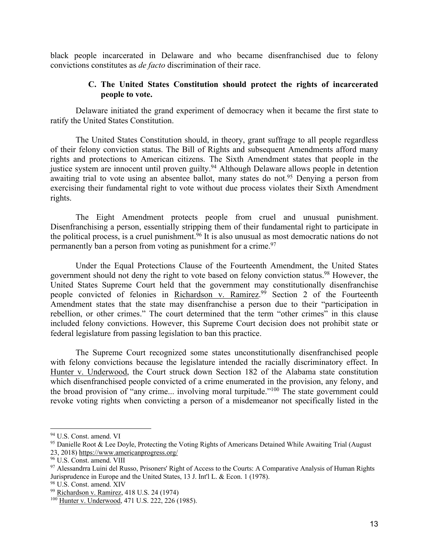black people incarcerated in Delaware and who became disenfranchised due to felony convictions constitutes as *de facto* discrimination of their race.

#### **C. The United States Constitution should protect the rights of incarcerated people to vote.**

Delaware initiated the grand experiment of democracy when it became the first state to ratify the United States Constitution.

The United States Constitution should, in theory, grant suffrage to all people regardless of their felony conviction status. The Bill of Rights and subsequent Amendments afford many rights and protections to American citizens. The Sixth Amendment states that people in the justice system are innocent until proven guilty.<sup>94</sup> Although Delaware allows people in detention awaiting trial to vote using an absentee ballot, many states do not.<sup>95</sup> Denying a person from exercising their fundamental right to vote without due process violates their Sixth Amendment rights.

The Eight Amendment protects people from cruel and unusual punishment. Disenfranchising a person, essentially stripping them of their fundamental right to participate in the political process, is a cruel punishment.<sup>96</sup> It is also unusual as most democratic nations do not permanently ban a person from voting as punishment for a crime.<sup>97</sup>

Under the Equal Protections Clause of the Fourteenth Amendment, the United States government should not deny the right to vote based on felony conviction status.<sup>98</sup> However, the United States Supreme Court held that the government may constitutionally disenfranchise people convicted of felonies in Richardson v. Ramirez.<sup>99</sup> Section 2 of the Fourteenth Amendment states that the state may disenfranchise a person due to their "participation in rebellion, or other crimes." The court determined that the term "other crimes" in this clause included felony convictions. However, this Supreme Court decision does not prohibit state or federal legislature from passing legislation to ban this practice.

The Supreme Court recognized some states unconstitutionally disenfranchised people with felony convictions because the legislature intended the racially discriminatory effect. In Hunter v. Underwood, the Court struck down Section 182 of the Alabama state constitution which disenfranchised people convicted of a crime enumerated in the provision, any felony, and the broad provision of "any crime... involving moral turpitude."100 The state government could revoke voting rights when convicting a person of a misdemeanor not specifically listed in the

<sup>94</sup> U.S. Const. amend. VI

<sup>&</sup>lt;sup>95</sup> Danielle Root & Lee Doyle, Protecting the Voting Rights of Americans Detained While Awaiting Trial (August 23, 2018) https://www.americanprogress.org/

<sup>96</sup> U.S. Const. amend. VIII

<sup>97</sup> Alessandrra Luini del Russo, Prisoners' Right of Access to the Courts: A Comparative Analysis of Human Rights Jurisprudence in Europe and the United States, 13 J. Int'l L. & Econ. 1 (1978).

<sup>98</sup> U.S. Const. amend. XIV

<sup>99</sup> Richardson v. Ramirez, 418 U.S. 24 (1974)

<sup>100</sup> Hunter v. Underwood, 471 U.S. 222, 226 (1985).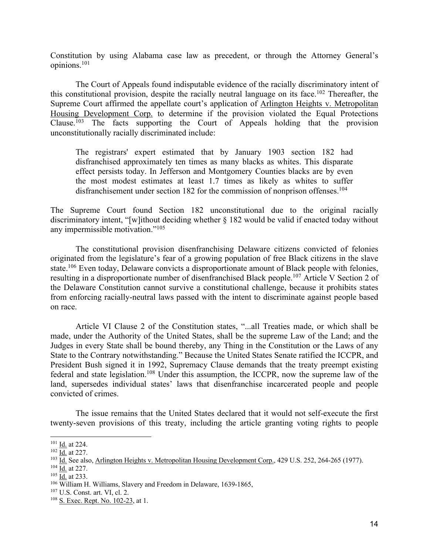Constitution by using Alabama case law as precedent, or through the Attorney General's opinions.101

The Court of Appeals found indisputable evidence of the racially discriminatory intent of this constitutional provision, despite the racially neutral language on its face.<sup>102</sup> Thereafter, the Supreme Court affirmed the appellate court's application of Arlington Heights v. Metropolitan Housing Development Corp. to determine if the provision violated the Equal Protections Clause.<sup>103</sup> The facts supporting the Court of Appeals holding that the provision unconstitutionally racially discriminated include:

The registrars' expert estimated that by January 1903 section 182 had disfranchised approximately ten times as many blacks as whites. This disparate effect persists today. In Jefferson and Montgomery Counties blacks are by even the most modest estimates at least 1.7 times as likely as whites to suffer disfranchisement under section 182 for the commission of nonprison offenses.<sup>104</sup>

The Supreme Court found Section 182 unconstitutional due to the original racially discriminatory intent, "[w]ithout deciding whether § 182 would be valid if enacted today without any impermissible motivation."105

The constitutional provision disenfranchising Delaware citizens convicted of felonies originated from the legislature's fear of a growing population of free Black citizens in the slave state.<sup>106</sup> Even today, Delaware convicts a disproportionate amount of Black people with felonies, resulting in a disproportionate number of disenfranchised Black people.107 Article V Section 2 of the Delaware Constitution cannot survive a constitutional challenge, because it prohibits states from enforcing racially-neutral laws passed with the intent to discriminate against people based on race.

Article VI Clause 2 of the Constitution states, "...all Treaties made, or which shall be made, under the Authority of the United States, shall be the supreme Law of the Land; and the Judges in every State shall be bound thereby, any Thing in the Constitution or the Laws of any State to the Contrary notwithstanding." Because the United States Senate ratified the ICCPR, and President Bush signed it in 1992, Supremacy Clause demands that the treaty preempt existing federal and state legislation.108 Under this assumption, the ICCPR, now the supreme law of the land, supersedes individual states' laws that disenfranchise incarcerated people and people convicted of crimes.

The issue remains that the United States declared that it would not self-execute the first twenty-seven provisions of this treaty, including the article granting voting rights to people

<sup>101</sup> Id. at 224.  $102 \overline{Id}$ . at 227.

 $\frac{103}{103}$  Id. See also, Arlington Heights v. Metropolitan Housing Development Corp., 429 U.S. 252, 264-265 (1977).

 $104 \underline{Id}$ . at 227.

 $105 \overline{\mathrm{Id}}$ . at 233.

 $106$  William H. Williams, Slavery and Freedom in Delaware, 1639-1865,  $107$  U.S. Const. art. VI, cl. 2.

<sup>&</sup>lt;sup>108</sup> S. Exec. Rept. No. 102-23, at 1.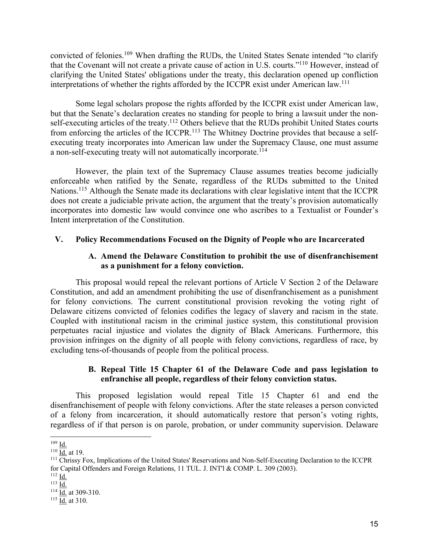convicted of felonies.109 When drafting the RUDs, the United States Senate intended "to clarify that the Covenant will not create a private cause of action in U.S. courts."110 However, instead of clarifying the United States' obligations under the treaty, this declaration opened up confliction interpretations of whether the rights afforded by the ICCPR exist under American law.111

Some legal scholars propose the rights afforded by the ICCPR exist under American law, but that the Senate's declaration creates no standing for people to bring a lawsuit under the nonself-executing articles of the treaty.<sup>112</sup> Others believe that the RUDs prohibit United States courts from enforcing the articles of the ICCPR.<sup>113</sup> The Whitney Doctrine provides that because a selfexecuting treaty incorporates into American law under the Supremacy Clause, one must assume a non-self-executing treaty will not automatically incorporate.114

However, the plain text of the Supremacy Clause assumes treaties become judicially enforceable when ratified by the Senate, regardless of the RUDs submitted to the United Nations.<sup>115</sup> Although the Senate made its declarations with clear legislative intent that the ICCPR does not create a judiciable private action, the argument that the treaty's provision automatically incorporates into domestic law would convince one who ascribes to a Textualist or Founder's Intent interpretation of the Constitution.

### **V. Policy Recommendations Focused on the Dignity of People who are Incarcerated**

### **A. Amend the Delaware Constitution to prohibit the use of disenfranchisement as a punishment for a felony conviction.**

This proposal would repeal the relevant portions of Article V Section 2 of the Delaware Constitution, and add an amendment prohibiting the use of disenfranchisement as a punishment for felony convictions. The current constitutional provision revoking the voting right of Delaware citizens convicted of felonies codifies the legacy of slavery and racism in the state. Coupled with institutional racism in the criminal justice system, this constitutional provision perpetuates racial injustice and violates the dignity of Black Americans. Furthermore, this provision infringes on the dignity of all people with felony convictions, regardless of race, by excluding tens-of-thousands of people from the political process.

#### **B. Repeal Title 15 Chapter 61 of the Delaware Code and pass legislation to enfranchise all people, regardless of their felony conviction status.**

This proposed legislation would repeal Title 15 Chapter 61 and end the disenfranchisement of people with felony convictions. After the state releases a person convicted of a felony from incarceration, it should automatically restore that person's voting rights, regardless of if that person is on parole, probation, or under community supervision. Delaware

<sup>109</sup> Id.

 $110 \underline{\overline{Id}}$  at 19.

 $111$  Chrissy Fox, Implications of the United States' Reservations and Non-Self-Executing Declaration to the ICCPR for Capital Offenders and Foreign Relations, 11 TUL. J. INT'l & COMP. L. 309 (2003).

 $112$  Id.

 $113 \overline{Id}$ .

 $114$  Id. at 309-310.

 $\frac{115}{\underline{Id}}$  at 310.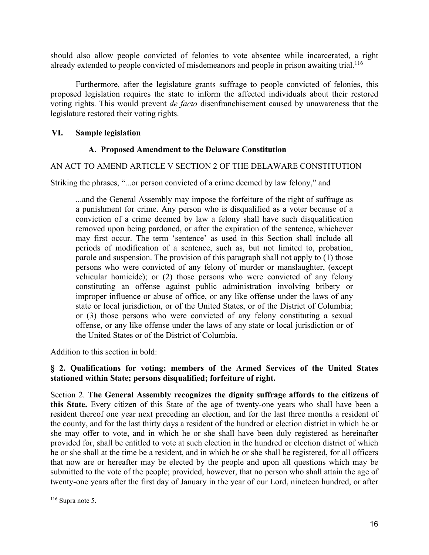should also allow people convicted of felonies to vote absentee while incarcerated, a right already extended to people convicted of misdemeanors and people in prison awaiting trial.<sup>116</sup>

Furthermore, after the legislature grants suffrage to people convicted of felonies, this proposed legislation requires the state to inform the affected individuals about their restored voting rights. This would prevent *de facto* disenfranchisement caused by unawareness that the legislature restored their voting rights.

### **VI. Sample legislation**

### **A. Proposed Amendment to the Delaware Constitution**

#### AN ACT TO AMEND ARTICLE V SECTION 2 OF THE DELAWARE CONSTITUTION

Striking the phrases, "...or person convicted of a crime deemed by law felony," and

...and the General Assembly may impose the forfeiture of the right of suffrage as a punishment for crime. Any person who is disqualified as a voter because of a conviction of a crime deemed by law a felony shall have such disqualification removed upon being pardoned, or after the expiration of the sentence, whichever may first occur. The term 'sentence' as used in this Section shall include all periods of modification of a sentence, such as, but not limited to, probation, parole and suspension. The provision of this paragraph shall not apply to (1) those persons who were convicted of any felony of murder or manslaughter, (except vehicular homicide); or (2) those persons who were convicted of any felony constituting an offense against public administration involving bribery or improper influence or abuse of office, or any like offense under the laws of any state or local jurisdiction, or of the United States, or of the District of Columbia; or (3) those persons who were convicted of any felony constituting a sexual offense, or any like offense under the laws of any state or local jurisdiction or of the United States or of the District of Columbia.

Addition to this section in bold:

## **§ 2. Qualifications for voting; members of the Armed Services of the United States stationed within State; persons disqualified; forfeiture of right.**

Section 2. **The General Assembly recognizes the dignity suffrage affords to the citizens of this State.** Every citizen of this State of the age of twenty-one years who shall have been a resident thereof one year next preceding an election, and for the last three months a resident of the county, and for the last thirty days a resident of the hundred or election district in which he or she may offer to vote, and in which he or she shall have been duly registered as hereinafter provided for, shall be entitled to vote at such election in the hundred or election district of which he or she shall at the time be a resident, and in which he or she shall be registered, for all officers that now are or hereafter may be elected by the people and upon all questions which may be submitted to the vote of the people; provided, however, that no person who shall attain the age of twenty-one years after the first day of January in the year of our Lord, nineteen hundred, or after

 $116$  Supra note 5.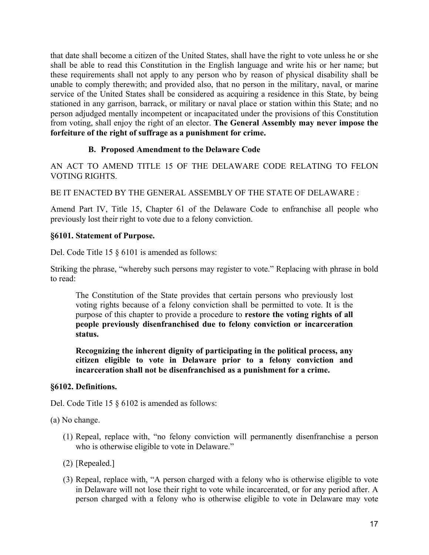that date shall become a citizen of the United States, shall have the right to vote unless he or she shall be able to read this Constitution in the English language and write his or her name; but these requirements shall not apply to any person who by reason of physical disability shall be unable to comply therewith; and provided also, that no person in the military, naval, or marine service of the United States shall be considered as acquiring a residence in this State, by being stationed in any garrison, barrack, or military or naval place or station within this State; and no person adjudged mentally incompetent or incapacitated under the provisions of this Constitution from voting, shall enjoy the right of an elector. **The General Assembly may never impose the forfeiture of the right of suffrage as a punishment for crime.**

## **B. Proposed Amendment to the Delaware Code**

AN ACT TO AMEND TITLE 15 OF THE DELAWARE CODE RELATING TO FELON VOTING RIGHTS.

BE IT ENACTED BY THE GENERAL ASSEMBLY OF THE STATE OF DELAWARE :

Amend Part IV, Title 15, Chapter 61 of the Delaware Code to enfranchise all people who previously lost their right to vote due to a felony conviction.

### **§6101. Statement of Purpose.**

Del. Code Title 15 § 6101 is amended as follows:

Striking the phrase, "whereby such persons may register to vote." Replacing with phrase in bold to read:

The Constitution of the State provides that certain persons who previously lost voting rights because of a felony conviction shall be permitted to vote. It is the purpose of this chapter to provide a procedure to **restore the voting rights of all people previously disenfranchised due to felony conviction or incarceration status.**

**Recognizing the inherent dignity of participating in the political process, any citizen eligible to vote in Delaware prior to a felony conviction and incarceration shall not be disenfranchised as a punishment for a crime.**

#### **§6102. Definitions.**

Del. Code Title 15 § 6102 is amended as follows:

(a) No change.

- (1) Repeal, replace with, "no felony conviction will permanently disenfranchise a person who is otherwise eligible to vote in Delaware."
- (2) [Repealed.]
- (3) Repeal, replace with, "A person charged with a felony who is otherwise eligible to vote in Delaware will not lose their right to vote while incarcerated, or for any period after. A person charged with a felony who is otherwise eligible to vote in Delaware may vote